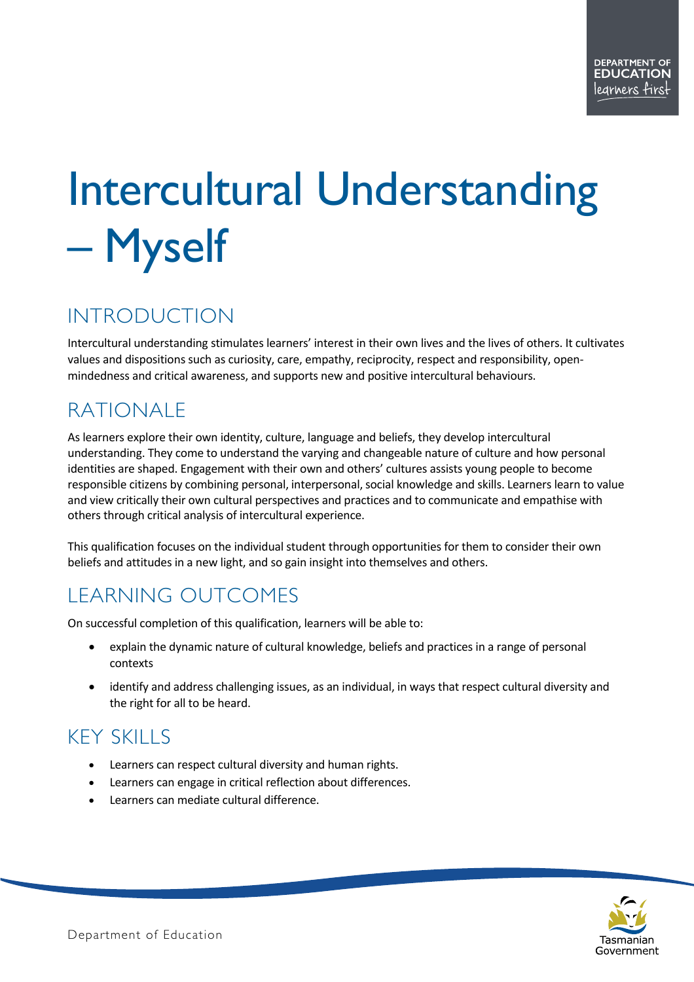# Intercultural Understanding – Myself

# INTRODUCTION

Intercultural understanding stimulates learners' interest in their own lives and the lives of others. It cultivates values and dispositions such as curiosity, care, empathy, reciprocity, respect and responsibility, openmindedness and critical awareness, and supports new and positive intercultural behaviours.

# RATIONALE

As learners explore their own identity, culture, language and beliefs, they develop intercultural understanding. They come to understand the varying and changeable nature of culture and how personal identities are shaped. Engagement with their own and others' cultures assists young people to become responsible citizens by combining personal, interpersonal, social knowledge and skills. Learners learn to value and view critically their own cultural perspectives and practices and to communicate and empathise with others through critical analysis of intercultural experience.

This qualification focuses on the individual student through opportunities for them to consider their own beliefs and attitudes in a new light, and so gain insight into themselves and others.

## LEARNING OUTCOMES

On successful completion of this qualification, learners will be able to:

- explain the dynamic nature of cultural knowledge, beliefs and practices in a range of personal contexts
- identify and address challenging issues, as an individual, in ways that respect cultural diversity and the right for all to be heard.

# KEY SKILLS

- Learners can respect cultural diversity and human rights.
- Learners can engage in critical reflection about differences.
- Learners can mediate cultural difference.